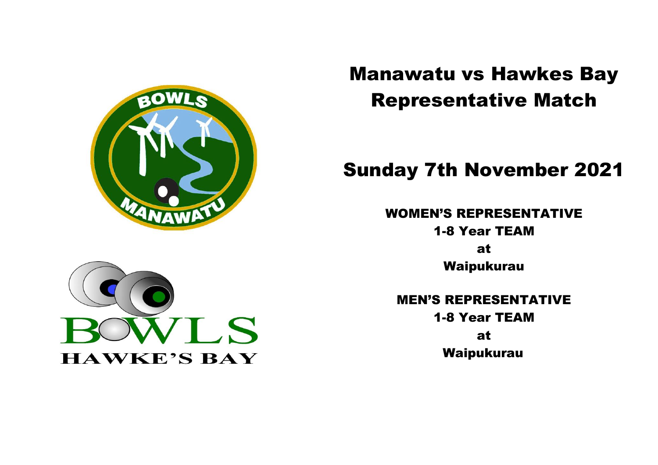



# Sunday 7th November 2021

WOMEN'S REPRESENTATIVE 1-8 Year TEAM at Waipukurau

MEN'S REPRESENTATIVE 1-8 Year TEAM at Waipukurau

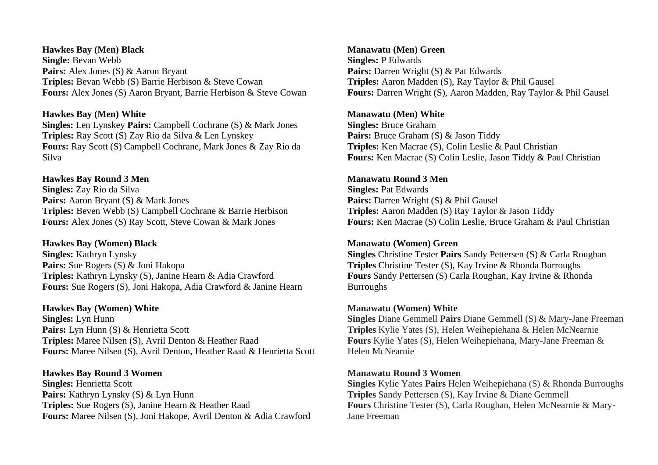## **Hawkes Bay (Men) Black Single:** Bevan Webb Pairs: Alex Jones (S) & Aaron Bryant **Triples:** Bevan Webb (S) Barrie Herbison & Steve Cowan **Fours:** Alex Jones (S) Aaron Bryant, Barrie Herbison & Steve Cowan

## **Hawkes Bay (Men) White**

**Singles:** Len Lynskey **Pairs:** Campbell Cochrane (S) & Mark Jones **Triples:** Ray Scott (S) Zay Rio da Silva & Len Lynskey **Fours:** Ray Scott (S) Campbell Cochrane, Mark Jones & Zay Rio da Silva

# **Hawkes Bay Round 3 Men**

**Singles:** Zay Rio da Silva **Pairs:** Aaron Bryant (S) & Mark Jones **Triples:** Beven Webb (S) Campbell Cochrane & Barrie Herbison **Fours:** Alex Jones (S) Ray Scott, Steve Cowan & Mark Jones

## **Hawkes Bay (Women) Black**

**Singles:** Kathryn Lynsky Pairs: Sue Rogers (S) & Joni Hakopa **Triples:** Kathryn Lynsky (S), Janine Hearn & Adia Crawford **Fours:** Sue Rogers (S), Joni Hakopa, Adia Crawford & Janine Hearn

**Hawkes Bay (Women) White Singles:** Lyn Hunn Pairs: Lyn Hunn (S) & Henrietta Scott **Triples:** Maree Nilsen (S), Avril Denton & Heather Raad **Fours:** Maree Nilsen (S), Avril Denton, Heather Raad & Henrietta Scott

**Hawkes Bay Round 3 Women Singles:** Henrietta Scott **Pairs:** Kathryn Lynsky (S) & Lyn Hunn **Triples:** Sue Rogers (S), Janine Hearn & Heather Raad **Fours:** Maree Nilsen (S), Joni Hakope, Avril Denton & Adia Crawford

**Manawatu (Men) Green Singles:** P Edwards **Pairs:** Darren Wright (S) & Pat Edwards **Triples:** Aaron Madden (S), Ray Taylor & Phil Gausel **Fours:** Darren Wright (S), Aaron Madden, Ray Taylor & Phil Gausel

# **Manawatu (Men) White**

**Singles:** Bruce Graham **Pairs:** Bruce Graham (S) & Jason Tiddy **Triples:** Ken Macrae (S), Colin Leslie & Paul Christian **Fours:** Ken Macrae (S) Colin Leslie, Jason Tiddy & Paul Christian

# **Manawatu Round 3 Men**

**Singles:** Pat Edwards **Pairs:** Darren Wright (S) & Phil Gausel **Triples:** Aaron Madden (S) Ray Taylor & Jason Tiddy **Fours:** Ken Macrae (S) Colin Leslie, Bruce Graham & Paul Christian

# **Manawatu (Women) Green**

**Singles** Christine Tester **Pairs** Sandy Pettersen (S) & Carla Roughan **Triples** Christine Tester (S), Kay Irvine & Rhonda Burroughs **Fours** Sandy Pettersen (S) Carla Roughan, Kay Irvine & Rhonda Burroughs

# **Manawatu (Women) White**

**Singles** Diane Gemmell **Pairs** Diane Gemmell (S) & Mary-Jane Freeman **Triples** Kylie Yates (S), Helen Weihepiehana & Helen McNearnie **Fours** Kylie Yates (S), Helen Weihepiehana, Mary-Jane Freeman & Helen McNearnie

# **Manawatu Round 3 Women**

**Singles** Kylie Yates **Pairs** Helen Weihepiehana (S) & Rhonda Burroughs **Triples** Sandy Pettersen (S), Kay Irvine & Diane Gemmell **Fours** Christine Tester (S), Carla Roughan, Helen McNearnie & Mary-Jane Freeman